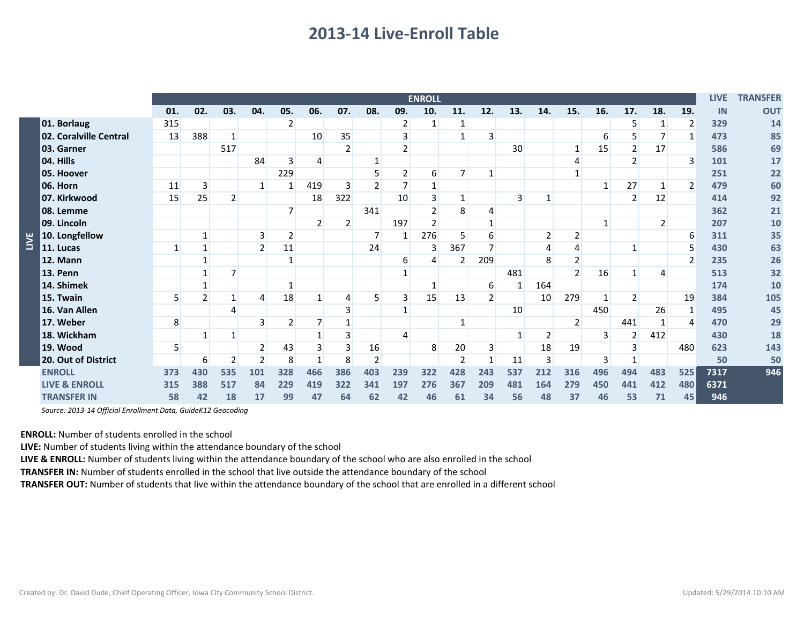## **2013-14 Live-Enroll Table**

|             |                          | <b>ENROLL</b> |              |                |                 |                |                |                |                |                 |                  |                |                |                |                | <b>LIVE</b>    | <b>TRANSFER</b> |                |                |              |      |            |
|-------------|--------------------------|---------------|--------------|----------------|-----------------|----------------|----------------|----------------|----------------|-----------------|------------------|----------------|----------------|----------------|----------------|----------------|-----------------|----------------|----------------|--------------|------|------------|
|             |                          | 01.           | 02.          | 03.            | 04.             | 05.            | 06.            | 07.            | 08.            | 09.             | 10.              | 11.            | 12.            | 13.            | 14.            | 15.            | 16.             | 17.            | 18.            | 19.          | IN   | <b>OUT</b> |
| <b>TINE</b> | 01. Borlaug              | 315           |              |                |                 | 2              |                |                |                | 2               | $\mathbf{1}$     | 1              |                |                |                |                |                 | 5              |                | 2            | 329  | 14         |
|             | 02. Coralville Central   | 13            | 388          | $\mathbf{1}$   |                 |                | 10             | 35             |                | 3               |                  |                | 3 <sub>l</sub> |                |                |                | 6               | 5              |                | $\mathbf{1}$ | 473  | 85         |
|             | 03. Garner               |               |              | 517            |                 |                |                | $\overline{2}$ |                | $\overline{2}$  |                  |                |                | 30             |                | 1              | 15              | $\overline{2}$ | 17             |              | 586  | 69         |
|             | 04. Hills                |               |              |                | 84              | 3              | 4              |                | $\mathbf{1}$   |                 |                  |                |                |                |                | 4              |                 | 2              |                | 3            | 101  | 17         |
|             | 05. Hoover               |               |              |                |                 | 229            |                |                | 5              | 2               | $6 \overline{6}$ | $\overline{7}$ |                |                |                |                |                 |                |                |              | 251  | 22         |
|             | 06. Horn                 | 11            | 3            |                | $\mathbf{1}$    | 1              | 419            | $\overline{3}$ | $\overline{2}$ | 7               | $\mathbf{1}$     |                |                |                |                |                | $\mathbf{1}$    | 27             |                | 2            | 479  | 60         |
|             | 07. Kirkwood             | 15            | 25           | 2              |                 |                | 18             | 322            |                | 10              | 3                |                |                | 3              | 1              |                |                 | 2              | 12             |              | 414  | 92         |
|             | 08. Lemme                |               |              |                |                 | 7              |                |                | 341            |                 | $\overline{2}$   | 8              | 4              |                |                |                |                 |                |                |              | 362  | 21         |
|             | 09. Lincoln              |               |              |                |                 |                | $\overline{2}$ | $\overline{2}$ |                | 197             | $\overline{2}$   |                | $\mathbf{1}$   |                |                |                | 1               |                | $\overline{2}$ |              | 207  | 10         |
|             | 10. Longfellow           |               | 1            |                | $\vert 3 \vert$ | $\overline{2}$ |                |                | $\overline{7}$ | 1               | 276              | 5              | 6              |                | $\overline{2}$ | $\overline{2}$ |                 |                |                | 6            | 311  | 35         |
|             | 11. Lucas                | 1             | $\mathbf{1}$ |                | $\overline{2}$  | 11             |                |                | 24             |                 | $\overline{3}$   | 367            | $\overline{7}$ |                | 4              | 4              |                 | $\mathbf{1}$   |                | 5            | 430  | 63         |
|             | 12. Mann                 |               | $\mathbf{1}$ |                |                 | $\mathbf{1}$   |                |                |                | $6 \overline{}$ | 4                | $\overline{2}$ | 209            |                | 8              | $\overline{2}$ |                 |                |                | 2            | 235  | 26         |
|             | <b>13. Penn</b>          |               |              | 7              |                 |                |                |                |                | $\mathbf{1}$    |                  |                |                | 481            |                | $\overline{2}$ | 16              | $\mathbf{1}$   | 4              |              | 513  | 32         |
|             | 14. Shimek               |               |              |                |                 | $\mathbf{1}$   |                |                |                |                 | $\mathbf{1}$     |                | 6              | 1              | 164            |                |                 |                |                |              | 174  | 10         |
|             | 15. Twain                | 5             | 2            | 1              | 4               | 18             |                | 4              | 5              | 3               | 15               | 13             | $\overline{2}$ |                | 10             | 279            | $\mathbf{1}$    | $\overline{2}$ |                | 19           | 384  | 105        |
|             | 16. Van Allen            |               |              | 4              |                 |                |                | 3              |                | $\mathbf{1}$    |                  |                |                | 10             |                |                | 450             |                | 26             | $\mathbf{1}$ | 495  | 45         |
|             | 17. Weber                | 8             |              |                | 3               | $\overline{2}$ |                |                |                |                 |                  |                |                |                |                | $\overline{2}$ |                 | 441            |                |              | 470  | 29         |
|             | 18. Wickham              |               | -1           | $\mathbf{1}$   |                 |                |                |                |                | 4               |                  |                |                | $\overline{1}$ | $\overline{2}$ |                | 3               | $\overline{2}$ | 412            |              | 430  | 18         |
|             | 19. Wood                 | 5             |              |                |                 | 43             | 3              |                | 16             |                 | 8                | 20             | $\overline{3}$ |                | 18             | 19             |                 | 3              |                | 480          | 623  | 143        |
|             | 20. Out of District      |               | 6            | $\overline{2}$ | $\overline{2}$  | 8              | 1              | 8              | $\overline{2}$ |                 |                  | $\overline{2}$ |                | 11             | 3              |                | 3               |                |                |              | 50   | 50         |
|             | <b>ENROLL</b>            | 373           | 430          | 535            | 101             | 328            | 466            | 386            | 403            | 239             | 322              | 428            | 243            | 537            | 212            | 316            | 496             | 494            | 483            | 525          | 7317 | 946        |
|             | <b>LIVE &amp; ENROLL</b> | 315           | 388          | 517            | 84              | 229            | 419            | 322            | 341            | 197             | 276              | 367            | 209            | 481            | 164            | 279            | 450             | 441            | 412            | 480          | 6371 |            |
|             | <b>TRANSFER IN</b>       | 58            | 42           | 18             | 17              | 99             | 47             | 64             | 62             | 42              | 46               | 61             | 34             | 56             | 48             | 37             | 46              | 53             | 71             | 45           | 946  |            |

*Source: 2013-14 Official Enrollment Data, GuideK12 Geocoding*

**ENROLL:** Number of students enrolled in the school

**LIVE:** Number of students living within the attendance boundary of the school

**LIVE & ENROLL:** Number of students living within the attendance boundary of the school who are also enrolled in the school

**TRANSFER IN:** Number of students enrolled in the school that live outside the attendance boundary of the school

**TRANSFER OUT:** Number of students that live within the attendance boundary of the school that are enrolled in a different school